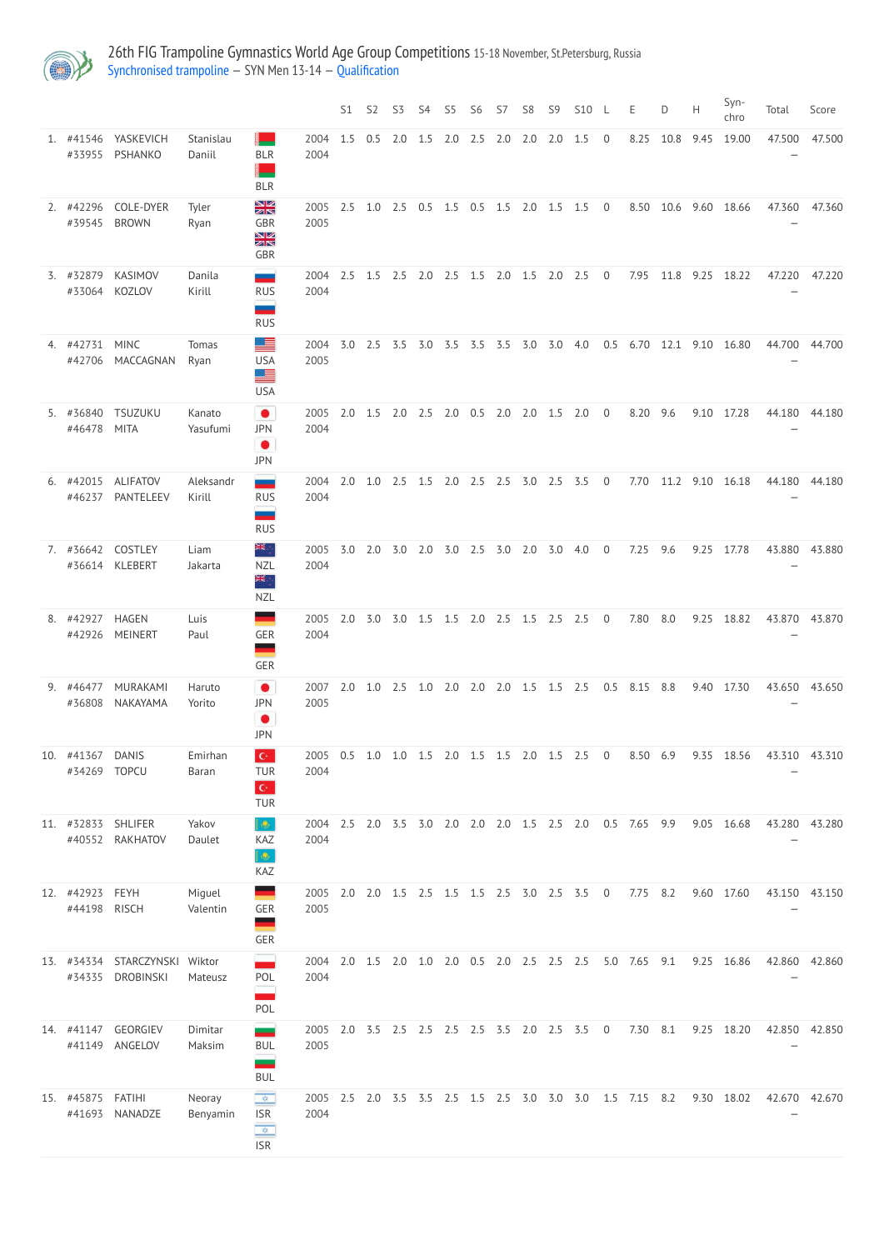

26th FIG Trampoline Gymnastics World Age Group Competitions 15-18 November, St.Petersburg, Russia [Synchronised](http://192.168.1.10:9001/event/SYN) trampoline — SYN Men 13-14 — [Qualification](http://192.168.1.10:9001/stages/71)

|                            |                                   |                      |                                                                          |                  | S1  | S <sub>2</sub> | S <sub>3</sub>                          | S4        | S <sub>5</sub> | S <sub>6</sub>    | S7  | S <sub>8</sub> | S <sub>9</sub> | <b>S10</b>                                |                | E.           | D.   | H    | Syn-<br>chro | Total         | Score         |
|----------------------------|-----------------------------------|----------------------|--------------------------------------------------------------------------|------------------|-----|----------------|-----------------------------------------|-----------|----------------|-------------------|-----|----------------|----------------|-------------------------------------------|----------------|--------------|------|------|--------------|---------------|---------------|
| 1. #41546<br>#33955        | YASKEVICH<br>PSHANKO              | Stanislau<br>Daniil  | <b>BLR</b><br><b>BLR</b>                                                 | 2004<br>2004     | 1.5 | 0.5            | $2.0$ 1.5                               |           | 2.0            | 2.5               | 2.0 | 2.0            | 2.0            | 1.5                                       | $\overline{0}$ | 8.25         | 10.8 | 9.45 | 19.00        | 47.500        | 47.500        |
| 2. #42296<br>#39545        | COLE-DYER<br><b>BROWN</b>         | Tyler<br>Ryan        | XX<br><b>GBR</b><br>NK<br>ZR<br>GBR                                      | 2005<br>2005     | 2.5 | 1.0            | 2.5                                     | 0.5       | 1.5            | 0.5               | 1.5 | 2.0            | 1.5            | 1.5                                       | $\overline{0}$ | 8.50         | 10.6 |      | 9.60 18.66   | 47.360        | 47.360        |
| 3. #32879<br>#33064        | KASIMOV<br><b>KOZLOV</b>          | Danila<br>Kirill     | --<br><b>RUS</b><br><u>and</u><br><b>RUS</b>                             | 2004<br>2004     | 2.5 | 1.5            | 2.5                                     | $2.0$ 2.5 |                | $1.5$ $2.0$ $1.5$ |     |                | 2.0            | 2.5                                       | $\overline{0}$ | 7.95         | 11.8 | 9.25 | 18.22        | 47.220        | 47.220        |
| 4. #42731<br>#42706        | <b>MINC</b><br>MACCAGNAN          | <b>Tomas</b><br>Ryan | 르<br><b>USA</b><br>트<br><b>USA</b>                                       | 2004<br>2005     | 3.0 | 2.5            | 3.5                                     | 3.0       | 3.5            | 3.5               | 3.5 | 3.0            | 3.0            | 4.0                                       | 0.5            | 6.70         | 12.1 | 9.10 | 16.80        | 44.700        | 44.700        |
| 5. #36840<br>#46478        | <b>TSUZUKU</b><br><b>MITA</b>     | Kanato<br>Yasufumi   | $\bullet$<br><b>JPN</b><br>$\bullet$<br><b>JPN</b>                       | 2005<br>2004     | 2.0 | 1.5            | 2.0                                     | 2.5       | 2.0            | 0.5               | 2.0 | 2.0            | 1.5            | 2.0                                       | $\overline{0}$ | 8.20         | 9.6  | 9.10 | 17.28        | 44.180        | 44.180        |
| 6. #42015<br>#46237        | <b>ALIFATOV</b><br>PANTELEEV      | Aleksandr<br>Kirill  | --<br><b>RUS</b><br>--<br><b>RUS</b>                                     | 2004<br>2004     | 2.0 | 1.0            | 2.5                                     | 1.5       | 2.0            | 2.5               | 2.5 | 3.0            | 2.5            | 3.5                                       | $\overline{0}$ | 7.70         | 11.2 | 9.10 | 16.18        | 44.180        | 44.180        |
| 7. #36642                  | COSTLEY<br>#36614 KLEBERT         | Liam<br>Jakarta      | <del>≽</del><br><b>NZL</b><br>⋛⋛<br><b>NZL</b>                           | 2005<br>2004     | 3.0 | 2.0            | 3.0                                     | 2.0       | 3.0            | 2.5               | 3.0 | 2.0            | 3.0            | 4.0                                       | $\overline{0}$ | 7.25         | 9.6  | 9.25 | 17.78        | 43.880        | 43.880        |
| 8. #42927<br>#42926        | <b>HAGEN</b><br><b>MEINERT</b>    | Luis<br>Paul         | GER<br><b>GER</b>                                                        | 2005<br>2004     |     |                |                                         |           |                |                   |     |                |                | 2.0 3.0 3.0 1.5 1.5 2.0 2.5 1.5 2.5 2.5 0 |                | 7.80 8.0     |      |      | 9.25 18.82   | 43.870 43.870 |               |
| 9. #46477<br>#36808        | MURAKAMI<br>NAKAYAMA              | Haruto<br>Yorito     | $\bullet$<br><b>JPN</b><br>$\bullet$<br><b>JPN</b>                       | 2007<br>2005     |     |                | 2.0 1.0 2.5 1.0 2.0 2.0 2.0 1.5 1.5 2.5 |           |                |                   |     |                |                |                                           |                | 0.5 8.15 8.8 |      |      | 9.40 17.30   |               | 43.650 43.650 |
| 10. #41367<br>#34269       | <b>DANIS</b><br><b>TOPCU</b>      | Emirhan<br>Baran     | $\mathbf{C}^{\perp}$<br><b>TUR</b><br>$\mathbf{C}^{\perp}$<br><b>TUR</b> | 2005<br>2004     | 0.5 |                | 1.0 1.0 1.5 2.0 1.5 1.5                 |           |                |                   |     |                |                | 2.0 1.5 2.5 0                             |                | 8.50 6.9     |      |      | 9.35 18.56   | 43.310 43.310 |               |
| 11. #32833<br>#40552       | <b>SHLIFER</b><br><b>RAKHATOV</b> | Yakov<br>Daulet      | lig.<br>KAZ<br><b>Q</b><br>KAZ                                           | 2004 2.5<br>2004 |     |                | 2.0 3.5 3.0 2.0 2.0 2.0 1.5 2.5 2.0     |           |                |                   |     |                |                |                                           |                | 0.5 7.65 9.9 |      |      | 9.05 16.68   | 43.280 43.280 |               |
| 12. #42923<br>#44198 RISCH | <b>FEYH</b>                       | Miguel<br>Valentin   | GER<br>GER                                                               | 2005<br>2005     | 2.0 |                | 2.0 1.5 2.5 1.5 1.5 2.5 3.0 2.5 3.5     |           |                |                   |     |                |                |                                           | $\overline{0}$ | 7.75         | 8.2  |      | 9.60 17.60   | 43.150        | 43.150        |

| 13. | #34334<br>#34335            | <b>STARCZYNSKI</b><br><b>DROBINSKI</b> | Wiktor<br>Mateusz  | <b>POL</b><br>POL                                           | 2004<br>2004 | 2.0       | 1.5 | 2.0 | 1.0                             | 2.0 | 0.5 | 2.0 | 2.5 | 2.5       | 2.5 | 5.0            | 7.65 | 9.1  | 9.25 | 16.86 | 42.860        | 42.860 |
|-----|-----------------------------|----------------------------------------|--------------------|-------------------------------------------------------------|--------------|-----------|-----|-----|---------------------------------|-----|-----|-----|-----|-----------|-----|----------------|------|------|------|-------|---------------|--------|
|     | 14. #41147<br>#41149        | GEORGIEV<br>ANGELOV                    | Dimitar<br>Maksim  | <u>e e</u><br><b>BUL</b><br><b>BUL</b>                      | 2005<br>2005 |           |     |     | 2.0 3.5 2.5 2.5 2.5 2.5 3.5 2.0 |     |     |     |     | $2.5$ 3.5 |     | $\overline{0}$ | 7.30 | -8.1 | 9.25 | 18.20 | 42.850 42.850 |        |
|     | 15. #45875 FATIHI<br>#41693 | NANADZE                                | Neoray<br>Benyamin | $\frac{1}{2}$<br><b>ISR</b><br>$\mathbb{R}^N$<br><b>ISR</b> | 2005<br>2004 | $2.5$ 2.0 |     |     | 3.5 3.5 2.5 1.5 2.5             |     |     |     | 3.0 | 3.0       | 3.0 | 1.5            | 7.15 | -8.2 | 9.30 | 18.02 | 42.670        | 42.670 |